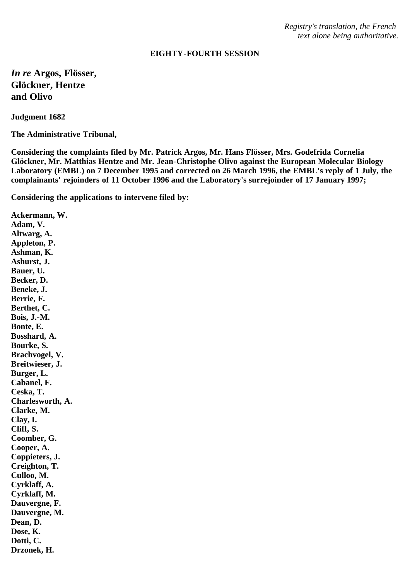*Registry's translation, the French text alone being authoritative.*

## **EIGHTY-FOURTH SESSION**

*In re* **Argos, Flösser, Glöckner, Hentze and Olivo**

**Judgment 1682**

**The Administrative Tribunal,**

**Considering the complaints filed by Mr. Patrick Argos, Mr. Hans Flösser, Mrs. Godefrida Cornelia Glöckner, Mr. Matthias Hentze and Mr. Jean-Christophe Olivo against the European Molecular Biology Laboratory (EMBL) on 7 December 1995 and corrected on 26 March 1996, the EMBL's reply of 1 July, the complainants' rejoinders of 11 October 1996 and the Laboratory's surrejoinder of 17 January 1997;**

**Considering the applications to intervene filed by:**

**Ackermann, W. Adam, V. Altwarg, A. Appleton, P. Ashman, K. Ashurst, J. Bauer, U. Becker, D. Beneke, J. Berrie, F. Berthet, C. Bois, J.-M. Bonte, E. Bosshard, A. Bourke, S. Brachvogel, V. Breitwieser, J. Burger, L. Cabanel, F. Ceska, T. Charlesworth, A. Clarke, M. Clay, I. Cliff, S. Coomber, G. Cooper, A. Coppieters, J. Creighton, T. Culloo, M. Cyrklaff, A. Cyrklaff, M. Dauvergne, F. Dauvergne, M. Dean, D. Dose, K. Dotti, C. Drzonek, H.**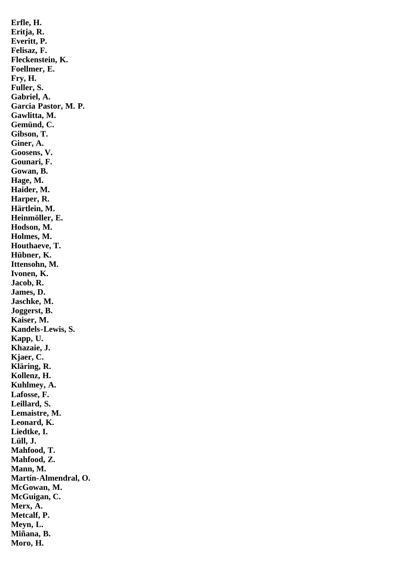**Erfle, H. Eritja, R. Everitt, P. Felisaz, F. Fleckenstein, K. Foellmer, E. Fry, H. Fuller, S. Gabriel, A. Garcia Pastor, M. P. Gawlitta, M. Gemünd, C. Gibson, T. Giner, A. Goosens, V. Gounari, F. Gowan, B. Hage, M. Haider, M. Harper, R. Härtlein, M. Heinmöller, E. Hodson, M. Holmes, M. Houthaeve, T. Hübner, K. Ittensohn, M. Ivonen, K. Jacob, R. James, D. Jaschke, M. Joggerst, B. Kaiser, M. Kandels-Lewis, S. Kapp, U. Khazaie, J. Kjaer, C. Kläring, R. Kollenz, H. Kuhlmey, A. Lafosse, F. Leillard, S. Lemaistre, M. Leonard, K. Liedtke, I. Lüll, J. Mahfood, T. Mahfood, Z. Mann, M. Martín-Almendral, O. McGowan, M. McGuigan, C. Merx, A. Metcalf, P. Meyn, L. Miñana, B. Moro, H.**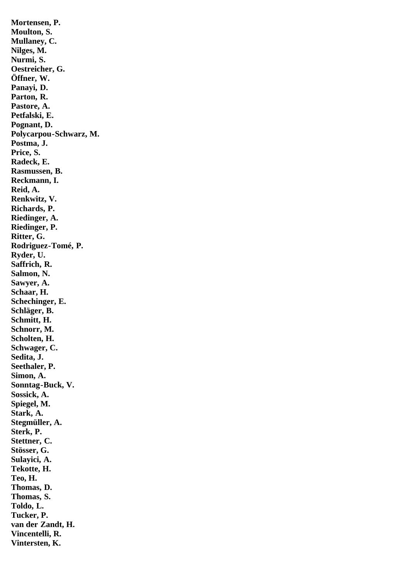**Mortensen, P. Moulton, S. Mullaney, C. Nilges, M. Nurmi, S. Oestreicher, G. Öffner, W. Panayi, D. Parton, R. Pastore, A. Petfalski, E. Pognant, D. Polycarpou-Schwarz, M. Postma, J. Price, S. Radeck, E. Rasmussen, B. Reckmann, I. Reid, A. Renkwitz, V. Richards, P. Riedinger, A. Riedinger, P. Ritter, G. Rodriguez-Tomé, P. Ryder, U. Saffrich, R. Salmon, N. Sawyer, A. Schaar, H. Schechinger, E. Schläger, B. Schmitt, H. Schnorr, M. Scholten, H. Schwager, C. Sedita, J. Seethaler, P. Simon, A. Sonntag-Buck, V. Sossick, A. Spiegel, M. Stark, A. Stegmüller, A. Sterk, P. Stettner, C. Stösser, G. Sulayici, A. Tekotte, H. Teo, H. Thomas, D. Thomas, S. Toldo, L. Tucker, P. van der Zandt, H. Vincentelli, R. Vintersten, K.**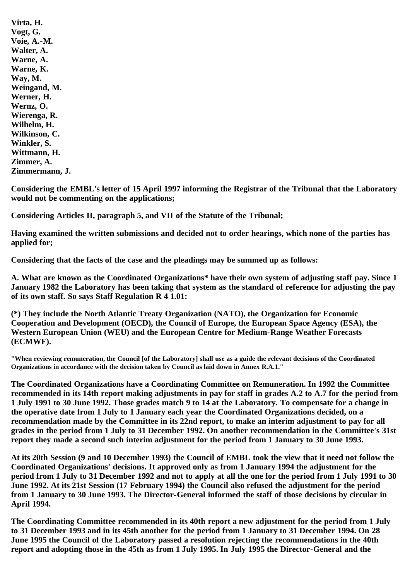**Virta, H. Vogt, G. Voie, A.-M. Walter, A. Warne, A. Warne, K. Way, M. Weingand, M. Werner, H. Wernz, O. Wierenga, R. Wilhelm, H. Wilkinson, C. Winkler, S. Wittmann, H. Zimmer, A. Zimmermann, J.**

**Considering the EMBL's letter of 15 April 1997 informing the Registrar of the Tribunal that the Laboratory would not be commenting on the applications;**

**Considering Articles II, paragraph 5, and VII of the Statute of the Tribunal;**

**Having examined the written submissions and decided not to order hearings, which none of the parties has applied for;**

**Considering that the facts of the case and the pleadings may be summed up as follows:**

**A. What are known as the Coordinated Organizations\* have their own system of adjusting staff pay. Since 1 January 1982 the Laboratory has been taking that system as the standard of reference for adjusting the pay of its own staff. So says Staff Regulation R 4 1.01:**

**(\*) They include the North Atlantic Treaty Organization (NATO), the Organization for Economic Cooperation and Development (OECD), the Council of Europe, the European Space Agency (ESA), the Western European Union (WEU) and the European Centre for Medium-Range Weather Forecasts (ECMWF).**

**"When reviewing remuneration, the Council [of the Laboratory] shall use as a guide the relevant decisions of the Coordinated Organizations in accordance with the decision taken by Council as laid down in Annex R.A.1."**

**The Coordinated Organizations have a Coordinating Committee on Remuneration. In 1992 the Committee recommended in its 14th report making adjustments in pay for staff in grades A.2 to A.7 for the period from 1 July 1991 to 30 June 1992. Those grades match 9 to 14 at the Laboratory. To compensate for a change in the operative date from 1 July to 1 January each year the Coordinated Organizations decided, on a recommendation made by the Committee in its 22nd report, to make an interim adjustment to pay for all grades in the period from 1 July to 31 December 1992. On another recommendation in the Committee's 31st report they made a second such interim adjustment for the period from 1 January to 30 June 1993.**

**At its 20th Session (9 and 10 December 1993) the Council of EMBL took the view that it need not follow the Coordinated Organizations' decisions. It approved only as from 1 January 1994 the adjustment for the period from 1 July to 31 December 1992 and not to apply at all the one for the period from 1 July 1991 to 30 June 1992. At its 21st Session (17 February 1994) the Council also refused the adjustment for the period from 1 January to 30 June 1993. The Director-General informed the staff of those decisions by circular in April 1994.**

**The Coordinating Committee recommended in its 40th report a new adjustment for the period from 1 July to 31 December 1993 and in its 45th another for the period from 1 January to 31 December 1994. On 28 June 1995 the Council of the Laboratory passed a resolution rejecting the recommendations in the 40th report and adopting those in the 45th as from 1 July 1995. In July 1995 the Director-General and the**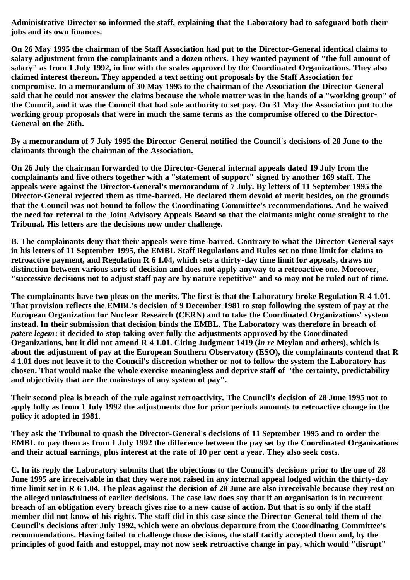**Administrative Director so informed the staff, explaining that the Laboratory had to safeguard both their jobs and its own finances.**

**On 26 May 1995 the chairman of the Staff Association had put to the Director-General identical claims to salary adjustment from the complainants and a dozen others. They wanted payment of "the full amount of salary" as from 1 July 1992, in line with the scales approved by the Coordinated Organizations. They also claimed interest thereon. They appended a text setting out proposals by the Staff Association for compromise. In a memorandum of 30 May 1995 to the chairman of the Association the Director-General said that he could not answer the claims because the whole matter was in the hands of a "working group" of the Council, and it was the Council that had sole authority to set pay. On 31 May the Association put to the working group proposals that were in much the same terms as the compromise offered to the Director-General on the 26th.**

**By a memorandum of 7 July 1995 the Director-General notified the Council's decisions of 28 June to the claimants through the chairman of the Association.**

**On 26 July the chairman forwarded to the Director-General internal appeals dated 19 July from the complainants and five others together with a "statement of support" signed by another 169 staff. The appeals were against the Director-General's memorandum of 7 July. By letters of 11 September 1995 the Director-General rejected them as time-barred. He declared them devoid of merit besides, on the grounds that the Council was not bound to follow the Coordinating Committee's recommendations. And he waived the need for referral to the Joint Advisory Appeals Board so that the claimants might come straight to the Tribunal. His letters are the decisions now under challenge.**

**B. The complainants deny that their appeals were time-barred. Contrary to what the Director-General says in his letters of 11 September 1995, the EMBL Staff Regulations and Rules set no time limit for claims to retroactive payment, and Regulation R 6 1.04, which sets a thirty-day time limit for appeals, draws no distinction between various sorts of decision and does not apply anyway to a retroactive one. Moreover, "successive decisions not to adjust staff pay are by nature repetitive" and so may not be ruled out of time.**

**The complainants have two pleas on the merits. The first is that the Laboratory broke Regulation R 4 1.01. That provision reflects the EMBL's decision of 9 December 1981 to stop following the system of pay at the European Organization for Nuclear Research (CERN) and to take the Coordinated Organizations' system instead. In their submission that decision binds the EMBL. The Laboratory was therefore in breach of** *patere legem***: it decided to stop taking over fully the adjustments approved by the Coordinated Organizations, but it did not amend R 4 1.01. Citing Judgment 1419 (***in re* **Meylan and others), which is about the adjustment of pay at the European Southern Observatory (ESO), the complainants contend that R 4 1.01 does not leave it to the Council's discretion whether or not to follow the system the Laboratory has chosen. That would make the whole exercise meaningless and deprive staff of "the certainty, predictability and objectivity that are the mainstays of any system of pay".**

**Their second plea is breach of the rule against retroactivity. The Council's decision of 28 June 1995 not to apply fully as from 1 July 1992 the adjustments due for prior periods amounts to retroactive change in the policy it adopted in 1981.**

**They ask the Tribunal to quash the Director-General's decisions of 11 September 1995 and to order the EMBL to pay them as from 1 July 1992 the difference between the pay set by the Coordinated Organizations and their actual earnings, plus interest at the rate of 10 per cent a year. They also seek costs.**

**C. In its reply the Laboratory submits that the objections to the Council's decisions prior to the one of 28 June 1995 are irreceivable in that they were not raised in any internal appeal lodged within the thirty-day time limit set in R 6 1.04. The pleas against the decision of 28 June are also irreceivable because they rest on the alleged unlawfulness of earlier decisions. The case law does say that if an organisation is in recurrent breach of an obligation every breach gives rise to a new cause of action. But that is so only if the staff member did not know of his rights. The staff did in this case since the Director-General told them of the Council's decisions after July 1992, which were an obvious departure from the Coordinating Committee's recommendations. Having failed to challenge those decisions, the staff tacitly accepted them and, by the principles of good faith and estoppel, may not now seek retroactive change in pay, which would "disrupt"**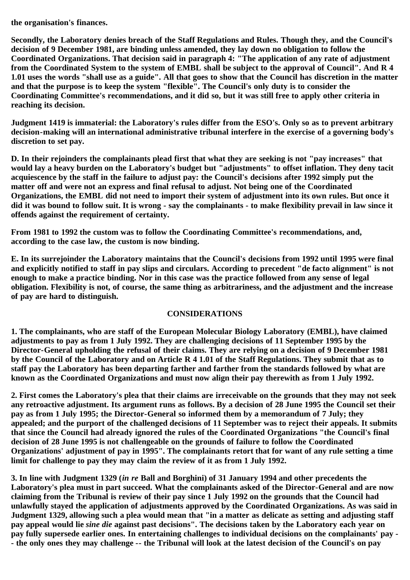**the organisation's finances.**

**Secondly, the Laboratory denies breach of the Staff Regulations and Rules. Though they, and the Council's decision of 9 December 1981, are binding unless amended, they lay down no obligation to follow the Coordinated Organizations. That decision said in paragraph 4: "The application of any rate of adjustment from the Coordinated System to the system of EMBL shall be subject to the approval of Council". And R 4 1.01 uses the words "shall use as a guide". All that goes to show that the Council has discretion in the matter and that the purpose is to keep the system "flexible". The Council's only duty is to consider the Coordinating Committee's recommendations, and it did so, but it was still free to apply other criteria in reaching its decision.**

**Judgment 1419 is immaterial: the Laboratory's rules differ from the ESO's. Only so as to prevent arbitrary decision-making will an international administrative tribunal interfere in the exercise of a governing body's discretion to set pay.**

**D. In their rejoinders the complainants plead first that what they are seeking is not "pay increases" that would lay a heavy burden on the Laboratory's budget but "adjustments" to offset inflation. They deny tacit acquiescence by the staff in the failure to adjust pay: the Council's decisions after 1992 simply put the matter off and were not an express and final refusal to adjust. Not being one of the Coordinated Organizations, the EMBL did not need to import their system of adjustment into its own rules. But once it did it was bound to follow suit. It is wrong - say the complainants - to make flexibility prevail in law since it offends against the requirement of certainty.**

**From 1981 to 1992 the custom was to follow the Coordinating Committee's recommendations, and, according to the case law, the custom is now binding.**

**E. In its surrejoinder the Laboratory maintains that the Council's decisions from 1992 until 1995 were final and explicitly notified to staff in pay slips and circulars. According to precedent "de facto alignment" is not enough to make a practice binding. Nor in this case was the practice followed from any sense of legal obligation. Flexibility is not, of course, the same thing as arbitrariness, and the adjustment and the increase of pay are hard to distinguish.**

## **CONSIDERATIONS**

**1. The complainants, who are staff of the European Molecular Biology Laboratory (EMBL), have claimed adjustments to pay as from 1 July 1992. They are challenging decisions of 11 September 1995 by the Director-General upholding the refusal of their claims. They are relying on a decision of 9 December 1981 by the Council of the Laboratory and on Article R 4 1.01 of the Staff Regulations. They submit that as to staff pay the Laboratory has been departing farther and farther from the standards followed by what are known as the Coordinated Organizations and must now align their pay therewith as from 1 July 1992.**

**2. First comes the Laboratory's plea that their claims are irreceivable on the grounds that they may not seek any retroactive adjustment. Its argument runs as follows. By a decision of 28 June 1995 the Council set their pay as from 1 July 1995; the Director-General so informed them by a memorandum of 7 July; they appealed; and the purport of the challenged decisions of 11 September was to reject their appeals. It submits that since the Council had already ignored the rules of the Coordinated Organizations "the Council's final decision of 28 June 1995 is not challengeable on the grounds of failure to follow the Coordinated Organizations' adjustment of pay in 1995". The complainants retort that for want of any rule setting a time limit for challenge to pay they may claim the review of it as from 1 July 1992.**

**3. In line with Judgment 1329 (***in re* **Ball and Borghini) of 31 January 1994 and other precedents the Laboratory's plea must in part succeed. What the complainants asked of the Director-General and are now claiming from the Tribunal is review of their pay since 1 July 1992 on the grounds that the Council had unlawfully stayed the application of adjustments approved by the Coordinated Organizations. As was said in Judgment 1329, allowing such a plea would mean that "in a matter as delicate as setting and adjusting staff pay appeal would lie** *sine die* **against past decisions". The decisions taken by the Laboratory each year on pay fully supersede earlier ones. In entertaining challenges to individual decisions on the complainants' pay - - the only ones they may challenge -- the Tribunal will look at the latest decision of the Council's on pay**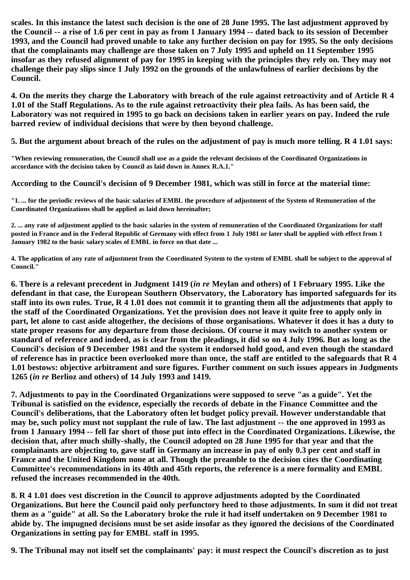**scales. In this instance the latest such decision is the one of 28 June 1995. The last adjustment approved by the Council -- a rise of 1.6 per cent in pay as from 1 January 1994 -- dated back to its session of December 1993, and the Council had proved unable to take any further decision on pay for 1995. So the only decisions that the complainants may challenge are those taken on 7 July 1995 and upheld on 11 September 1995 insofar as they refused alignment of pay for 1995 in keeping with the principles they rely on. They may not challenge their pay slips since 1 July 1992 on the grounds of the unlawfulness of earlier decisions by the Council.**

**4. On the merits they charge the Laboratory with breach of the rule against retroactivity and of Article R 4 1.01 of the Staff Regulations. As to the rule against retroactivity their plea fails. As has been said, the Laboratory was not required in 1995 to go back on decisions taken in earlier years on pay. Indeed the rule barred review of individual decisions that were by then beyond challenge.**

**5. But the argument about breach of the rules on the adjustment of pay is much more telling. R 4 1.01 says:**

**"When reviewing remuneration, the Council shall use as a guide the relevant decisions of the Coordinated Organizations in accordance with the decision taken by Council as laid down in Annex R.A.1."**

**According to the Council's decision of 9 December 1981, which was still in force at the material time:**

**"1. ... for the periodic reviews of the basic salaries of EMBL the procedure of adjustment of the System of Remuneration of the Coordinated Organizations shall be applied as laid down hereinafter;**

**2. ... any rate of adjustment applied to the basic salaries in the system of remuneration of the Coordinated Organizations for staff posted in France and in the Federal Republic of Germany with effect from 1 July 1981 or later shall be applied with effect from 1 January 1982 to the basic salary scales of EMBL in force on that date ...**

**4. The application of any rate of adjustment from the Coordinated System to the system of EMBL shall be subject to the approval of Council."**

**6. There is a relevant precedent in Judgment 1419 (***in re* **Meylan and others) of 1 February 1995. Like the defendant in that case, the European Southern Observatory, the Laboratory has imported safeguards for its staff into its own rules. True, R 4 1.01 does not commit it to granting them all the adjustments that apply to the staff of the Coordinated Organizations. Yet the provision does not leave it quite free to apply only in part, let alone to cast aside altogether, the decisions of those organisations. Whatever it does it has a duty to state proper reasons for any departure from those decisions. Of course it may switch to another system or standard of reference and indeed, as is clear from the pleadings, it did so on 4 July 1996. But as long as the Council's decision of 9 December 1981 and the system it endorsed hold good, and even though the standard of reference has in practice been overlooked more than once, the staff are entitled to the safeguards that R 4 1.01 bestows: objective arbitrament and sure figures. Further comment on such issues appears in Judgments 1265 (***in re* **Berlioz and others) of 14 July 1993 and 1419.**

**7. Adjustments to pay in the Coordinated Organizations were supposed to serve "as a guide". Yet the Tribunal is satisfied on the evidence, especially the records of debate in the Finance Committee and the Council's deliberations, that the Laboratory often let budget policy prevail. However understandable that may be, such policy must not supplant the rule of law. The last adjustment -- the one approved in 1993 as from 1 January 1994 -- fell far short of those put into effect in the Coordinated Organizations. Likewise, the decision that, after much shilly-shally, the Council adopted on 28 June 1995 for that year and that the complainants are objecting to, gave staff in Germany an increase in pay of only 0.3 per cent and staff in France and the United Kingdom none at all. Though the preamble to the decision cites the Coordinating Committee's recommendations in its 40th and 45th reports, the reference is a mere formality and EMBL refused the increases recommended in the 40th.**

**8. R 4 1.01 does vest discretion in the Council to approve adjustments adopted by the Coordinated Organizations. But here the Council paid only perfunctory heed to those adjustments. In sum it did not treat them as a "guide" at all. So the Laboratory broke the rule it had itself undertaken on 9 December 1981 to abide by. The impugned decisions must be set aside insofar as they ignored the decisions of the Coordinated Organizations in setting pay for EMBL staff in 1995.**

**9. The Tribunal may not itself set the complainants' pay: it must respect the Council's discretion as to just**